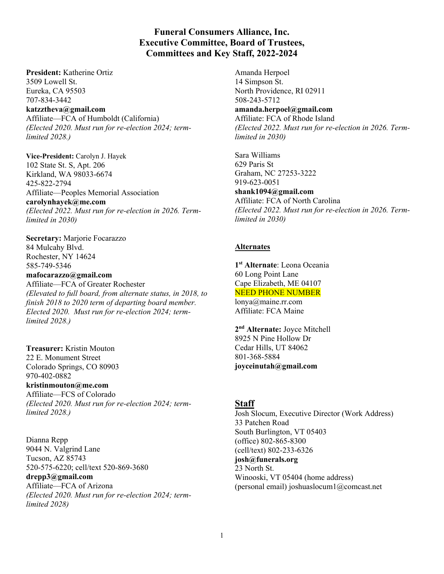## **Funeral Consumers Alliance, Inc. Executive Committee, Board of Trustees, Committees and Key Staff, 2022-2024**

**President:** Katherine Ortiz 3509 Lowell St. Eureka, CA 95503 707-834-3442 **katzztheva@gmail.com** Affiliate—FCA of Humboldt (California) *(Elected 2020. Must run for re-election 2024; termlimited 2028.)*

**Vice-President:** Carolyn J. Hayek 102 State St. S, Apt. 206 Kirkland, WA 98033-6674 425-822-2794 Affiliate—Peoples Memorial Association **carolynhayek@me.com** *(Elected 2022. Must run for re-election in 2026. Termlimited in 2030)*

**Secretary:** Marjorie Focarazzo 84 Mulcahy Blvd. Rochester, NY 14624 585-749-5346

**mafocarazzo@gmail.com**  Affiliate—FCA of Greater Rochester *(Elevated to full board, from alternate status, in 2018, to finish 2018 to 2020 term of departing board member. Elected 2020. Must run for re-election 2024; termlimited 2028.)* 

**Treasurer:** Kristin Mouton 22 E. Monument Street Colorado Springs, CO 80903 970-402-0882 **kristinmouton@me.com**  Affiliate—FCS of Colorado *(Elected 2020. Must run for re-election 2024; term-*

*limited 2028.)* 

Dianna Repp 9044 N. Valgrind Lane Tucson, AZ 85743 520-575-6220; cell/text 520-869-3680 **drepp3@gmail.com**  Affiliate—FCA of Arizona *(Elected 2020. Must run for re-election 2024; termlimited 2028)*

Amanda Herpoel 14 Simpson St. North Providence, RI 02911 508-243-5712 **amanda.herpoel@gmail.com**  Affiliate: FCA of Rhode Island *(Elected 2022. Must run for re-election in 2026. Termlimited in 2030)* 

Sara Williams 629 Paris St Graham, NC 27253-3222 919-623-0051 **shank1094@gmail.com**  Affiliate: FCA of North Carolina *(Elected 2022. Must run for re-election in 2026. Termlimited in 2030)*

## **Alternates**

**1st Alternate**: Leona Oceania 60 Long Point Lane Cape Elizabeth, ME 04107 NEED PHONE NUMBER lonya@maine.rr.com Affiliate: FCA Maine

**2nd Alternate:** Joyce Mitchell 8925 N Pine Hollow Dr Cedar Hills, UT 84062 801-368-5884 **joyceinutah@gmail.com** 

## **Staff**

Josh Slocum, Executive Director (Work Address) 33 Patchen Road South Burlington, VT 05403 (office) 802-865-8300 (cell/text) 802-233-6326 **josh@funerals.org** 23 North St. Winooski, VT 05404 (home address) (personal email) joshuaslocum1@comcast.net